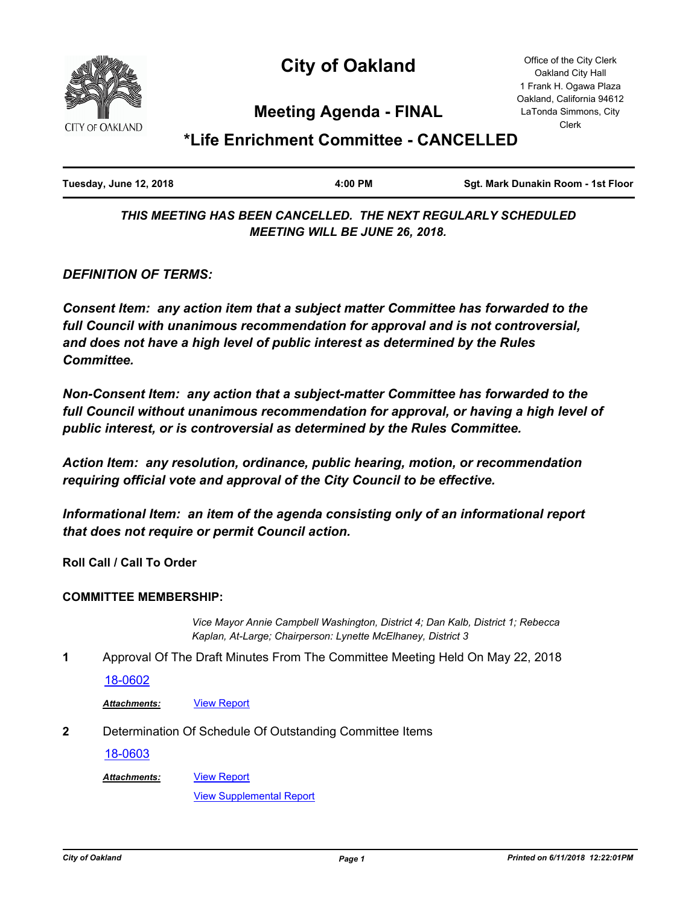

# **City of Oakland**

Office of the City Clerk Oakland City Hall 1 Frank H. Ogawa Plaza Oakland, California 94612 LaTonda Simmons, City Clerk

## **Meeting Agenda - FINAL**

# **\*Life Enrichment Committee - CANCELLED**

| Tuesday, June 12, 2018 | 4:00 PM | Sgt. Mark Dunakin Room - 1st Floor |
|------------------------|---------|------------------------------------|
|                        |         |                                    |

*THIS MEETING HAS BEEN CANCELLED. THE NEXT REGULARLY SCHEDULED MEETING WILL BE JUNE 26, 2018.*

*DEFINITION OF TERMS:*

*Consent Item: any action item that a subject matter Committee has forwarded to the full Council with unanimous recommendation for approval and is not controversial, and does not have a high level of public interest as determined by the Rules Committee.*

*Non-Consent Item: any action that a subject-matter Committee has forwarded to the*  full Council without unanimous recommendation for approval, or having a high level of *public interest, or is controversial as determined by the Rules Committee.*

*Action Item: any resolution, ordinance, public hearing, motion, or recommendation requiring official vote and approval of the City Council to be effective.*

*Informational Item: an item of the agenda consisting only of an informational report that does not require or permit Council action.*

**Roll Call / Call To Order**

#### **COMMITTEE MEMBERSHIP:**

*Vice Mayor Annie Campbell Washington, District 4; Dan Kalb, District 1; Rebecca Kaplan, At-Large; Chairperson: Lynette McElhaney, District 3*

**1** Approval Of The Draft Minutes From The Committee Meeting Held On May 22, 2018

[18-0602](http://oakland.legistar.com/gateway.aspx?m=l&id=/matter.aspx?key=29036)

*Attachments:* [View Report](http://oakland.legistar.com/gateway.aspx?M=F&ID=4f1e0458-8359-426a-b16e-0a4aff83df3c.pdf)

**2** Determination Of Schedule Of Outstanding Committee Items

[18-0603](http://oakland.legistar.com/gateway.aspx?m=l&id=/matter.aspx?key=29037)

*Attachments:*

[View Supplemental Report](http://oakland.legistar.com/gateway.aspx?M=F&ID=e9ad1bfe-e1a1-41ff-bede-0c4b756abfa7.pdf)

[View Report](http://oakland.legistar.com/gateway.aspx?M=F&ID=30813bff-cfd3-4e19-b4aa-f12af643e135.pdf)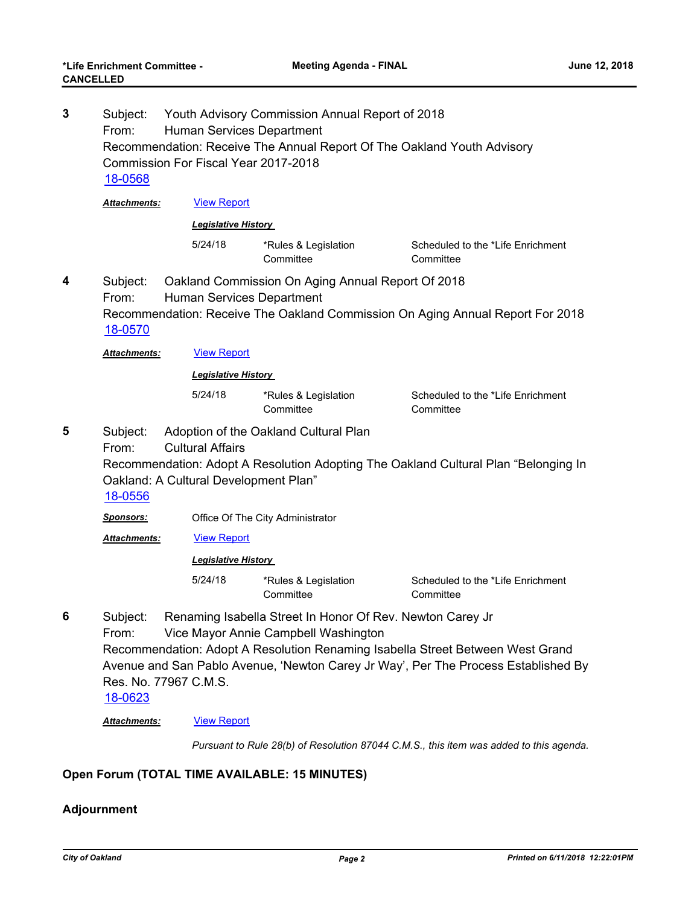| Subject:<br>From:<br>18-0568                        |                                                                                     |                                                                                                                                     |                                                                                                                                                                                                                                                                                                                                                                                                                                                                                                                                                                                                                                        |  |
|-----------------------------------------------------|-------------------------------------------------------------------------------------|-------------------------------------------------------------------------------------------------------------------------------------|----------------------------------------------------------------------------------------------------------------------------------------------------------------------------------------------------------------------------------------------------------------------------------------------------------------------------------------------------------------------------------------------------------------------------------------------------------------------------------------------------------------------------------------------------------------------------------------------------------------------------------------|--|
| Attachments:                                        | <b>View Report</b>                                                                  |                                                                                                                                     |                                                                                                                                                                                                                                                                                                                                                                                                                                                                                                                                                                                                                                        |  |
| <b>Legislative History</b>                          |                                                                                     |                                                                                                                                     |                                                                                                                                                                                                                                                                                                                                                                                                                                                                                                                                                                                                                                        |  |
|                                                     | 5/24/18                                                                             | *Rules & Legislation<br>Committee                                                                                                   | Scheduled to the *Life Enrichment<br>Committee                                                                                                                                                                                                                                                                                                                                                                                                                                                                                                                                                                                         |  |
| Subject:<br>From:<br>18-0570                        |                                                                                     | Oakland Commission On Aging Annual Report Of 2018<br>Recommendation: Receive The Oakland Commission On Aging Annual Report For 2018 |                                                                                                                                                                                                                                                                                                                                                                                                                                                                                                                                                                                                                                        |  |
| Attachments:                                        | <b>View Report</b>                                                                  |                                                                                                                                     |                                                                                                                                                                                                                                                                                                                                                                                                                                                                                                                                                                                                                                        |  |
| <b>Legislative History</b>                          |                                                                                     |                                                                                                                                     |                                                                                                                                                                                                                                                                                                                                                                                                                                                                                                                                                                                                                                        |  |
|                                                     | 5/24/18                                                                             | *Rules & Legislation<br>Committee                                                                                                   | Scheduled to the *Life Enrichment<br>Committee                                                                                                                                                                                                                                                                                                                                                                                                                                                                                                                                                                                         |  |
| Subject:<br>From:<br>18-0556                        | Recommendation: Adopt A Resolution Adopting The Oakland Cultural Plan "Belonging In |                                                                                                                                     |                                                                                                                                                                                                                                                                                                                                                                                                                                                                                                                                                                                                                                        |  |
| Sponsors:                                           |                                                                                     |                                                                                                                                     |                                                                                                                                                                                                                                                                                                                                                                                                                                                                                                                                                                                                                                        |  |
| Attachments:                                        | <b>View Report</b>                                                                  |                                                                                                                                     |                                                                                                                                                                                                                                                                                                                                                                                                                                                                                                                                                                                                                                        |  |
| <b>Legislative History</b>                          |                                                                                     |                                                                                                                                     |                                                                                                                                                                                                                                                                                                                                                                                                                                                                                                                                                                                                                                        |  |
|                                                     | 5/24/18                                                                             | *Rules & Legislation<br>Committee                                                                                                   | Scheduled to the *Life Enrichment<br>Committee                                                                                                                                                                                                                                                                                                                                                                                                                                                                                                                                                                                         |  |
| Subject:<br>From:<br><u>18-0623</u><br>Attachments: | <b>View Report</b>                                                                  |                                                                                                                                     |                                                                                                                                                                                                                                                                                                                                                                                                                                                                                                                                                                                                                                        |  |
|                                                     |                                                                                     | <b>Cultural Affairs</b><br>Res. No. 77967 C.M.S.                                                                                    | Youth Advisory Commission Annual Report of 2018<br>Human Services Department<br>Recommendation: Receive The Annual Report Of The Oakland Youth Advisory<br><b>Commission For Fiscal Year 2017-2018</b><br>Human Services Department<br>Adoption of the Oakland Cultural Plan<br>Oakland: A Cultural Development Plan"<br>Office Of The City Administrator<br>Renaming Isabella Street In Honor Of Rev. Newton Carey Jr<br>Vice Mayor Annie Campbell Washington<br>Recommendation: Adopt A Resolution Renaming Isabella Street Between West Grand<br>Avenue and San Pablo Avenue, 'Newton Carey Jr Way', Per The Process Established By |  |

*Pursuant to Rule 28(b) of Resolution 87044 C.M.S., this item was added to this agenda.*

### **Open Forum (TOTAL TIME AVAILABLE: 15 MINUTES)**

### **Adjournment**